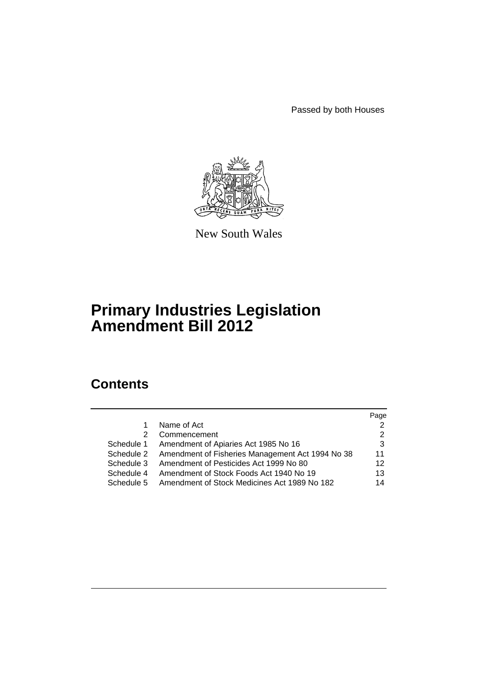Passed by both Houses



New South Wales

# **Primary Industries Legislation Amendment Bill 2012**

# **Contents**

|               |                                                             | Page |
|---------------|-------------------------------------------------------------|------|
| 1             | Name of Act                                                 |      |
| $\mathcal{P}$ | Commencement                                                |      |
| Schedule 1    | Amendment of Apiaries Act 1985 No 16                        | 3    |
|               | Schedule 2 Amendment of Fisheries Management Act 1994 No 38 | 11   |
| Schedule 3    | Amendment of Pesticides Act 1999 No 80                      | 12   |
| Schedule 4    | Amendment of Stock Foods Act 1940 No 19                     | 13   |
| Schedule 5    | Amendment of Stock Medicines Act 1989 No 182                | 14   |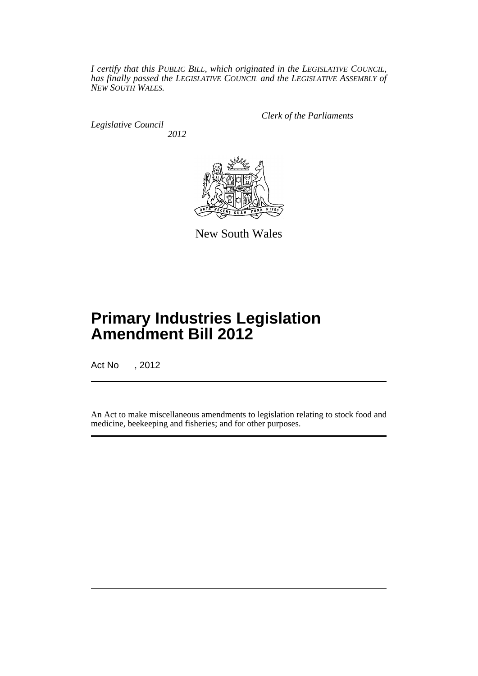*I certify that this PUBLIC BILL, which originated in the LEGISLATIVE COUNCIL, has finally passed the LEGISLATIVE COUNCIL and the LEGISLATIVE ASSEMBLY of NEW SOUTH WALES.*

*Legislative Council 2012* *Clerk of the Parliaments*



New South Wales

# **Primary Industries Legislation Amendment Bill 2012**

Act No , 2012

An Act to make miscellaneous amendments to legislation relating to stock food and medicine, beekeeping and fisheries; and for other purposes.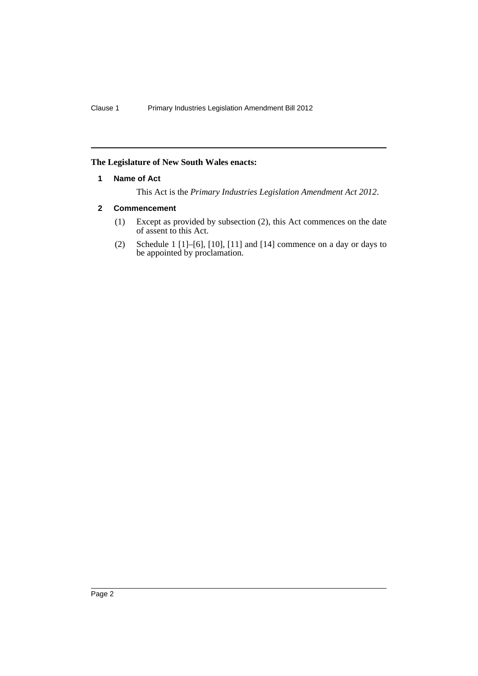## <span id="page-3-0"></span>**The Legislature of New South Wales enacts:**

#### **1 Name of Act**

This Act is the *Primary Industries Legislation Amendment Act 2012*.

## <span id="page-3-1"></span>**2 Commencement**

- (1) Except as provided by subsection (2), this Act commences on the date of assent to this Act.
- (2) Schedule 1  $[1]$ – $[6]$ ,  $[10]$ ,  $[11]$  and  $[14]$  commence on a day or days to be appointed by proclamation.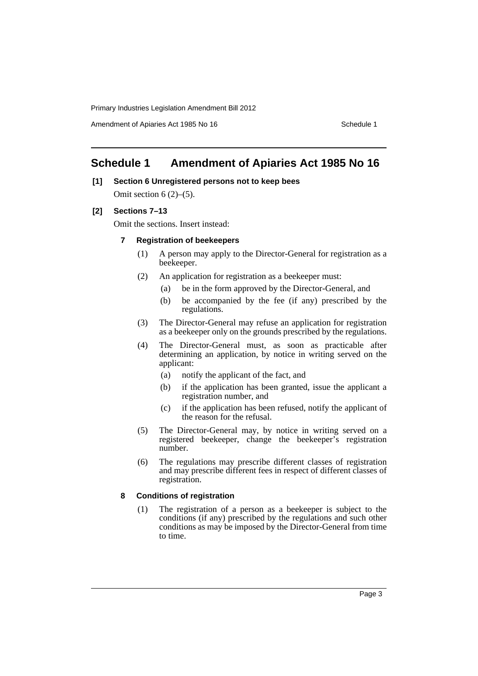Amendment of Apiaries Act 1985 No 16 Schedule 1

# <span id="page-4-0"></span>**Schedule 1 Amendment of Apiaries Act 1985 No 16**

# **[1] Section 6 Unregistered persons not to keep bees**

Omit section  $6(2)$ – $(5)$ .

**[2] Sections 7–13**

Omit the sections. Insert instead:

- **7 Registration of beekeepers**
	- (1) A person may apply to the Director-General for registration as a beekeeper.
	- (2) An application for registration as a beekeeper must:
		- (a) be in the form approved by the Director-General, and
		- (b) be accompanied by the fee (if any) prescribed by the regulations.
	- (3) The Director-General may refuse an application for registration as a beekeeper only on the grounds prescribed by the regulations.
	- (4) The Director-General must, as soon as practicable after determining an application, by notice in writing served on the applicant:
		- (a) notify the applicant of the fact, and
		- (b) if the application has been granted, issue the applicant a registration number, and
		- (c) if the application has been refused, notify the applicant of the reason for the refusal.
	- (5) The Director-General may, by notice in writing served on a registered beekeeper, change the beekeeper's registration number.
	- (6) The regulations may prescribe different classes of registration and may prescribe different fees in respect of different classes of registration.

#### **8 Conditions of registration**

(1) The registration of a person as a beekeeper is subject to the conditions (if any) prescribed by the regulations and such other conditions as may be imposed by the Director-General from time to time.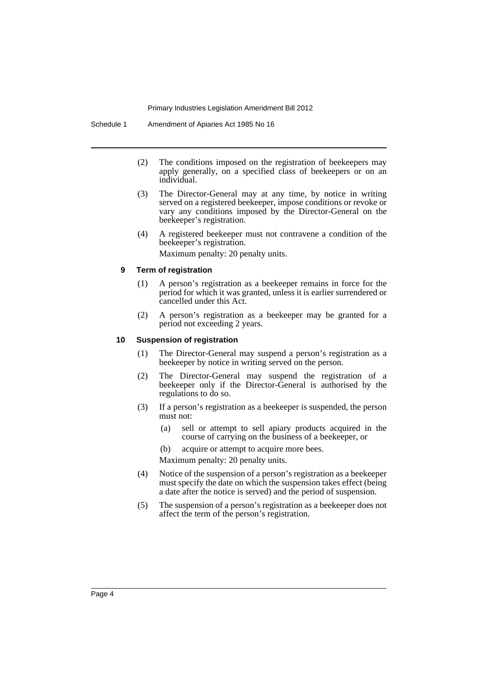- (2) The conditions imposed on the registration of beekeepers may apply generally, on a specified class of beekeepers or on an individual.
- (3) The Director-General may at any time, by notice in writing served on a registered beekeeper, impose conditions or revoke or vary any conditions imposed by the Director-General on the beekeeper's registration.
- (4) A registered beekeeper must not contravene a condition of the beekeeper's registration.

Maximum penalty: 20 penalty units.

#### **9 Term of registration**

- (1) A person's registration as a beekeeper remains in force for the period for which it was granted, unless it is earlier surrendered or cancelled under this Act.
- (2) A person's registration as a beekeeper may be granted for a period not exceeding 2 years.

#### **10 Suspension of registration**

- (1) The Director-General may suspend a person's registration as a beekeeper by notice in writing served on the person.
- (2) The Director-General may suspend the registration of a beekeeper only if the Director-General is authorised by the regulations to do so.
- (3) If a person's registration as a beekeeper is suspended, the person must not:
	- (a) sell or attempt to sell apiary products acquired in the course of carrying on the business of a beekeeper, or

(b) acquire or attempt to acquire more bees.

Maximum penalty: 20 penalty units.

- (4) Notice of the suspension of a person's registration as a beekeeper must specify the date on which the suspension takes effect (being a date after the notice is served) and the period of suspension.
- (5) The suspension of a person's registration as a beekeeper does not affect the term of the person's registration.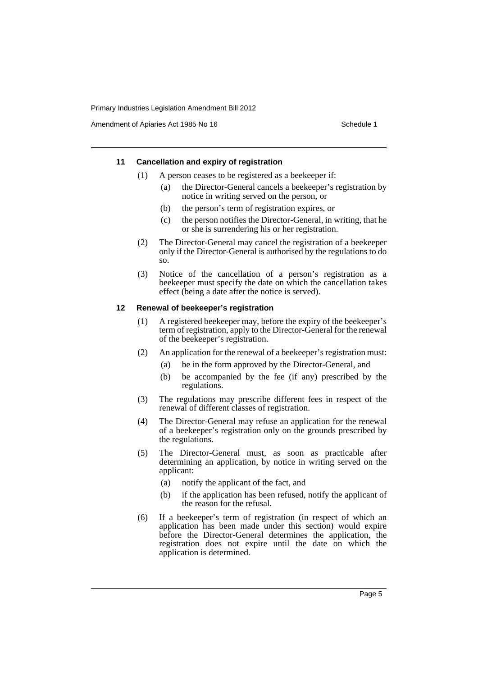Amendment of Apiaries Act 1985 No 16 Schedule 1

#### **11 Cancellation and expiry of registration**

- (1) A person ceases to be registered as a beekeeper if:
	- (a) the Director-General cancels a beekeeper's registration by notice in writing served on the person, or
	- (b) the person's term of registration expires, or
	- (c) the person notifies the Director-General, in writing, that he or she is surrendering his or her registration.
- (2) The Director-General may cancel the registration of a beekeeper only if the Director-General is authorised by the regulations to do so.
- (3) Notice of the cancellation of a person's registration as a beekeeper must specify the date on which the cancellation takes effect (being a date after the notice is served).

#### **12 Renewal of beekeeper's registration**

- (1) A registered beekeeper may, before the expiry of the beekeeper's term of registration, apply to the Director-General for the renewal of the beekeeper's registration.
- (2) An application for the renewal of a beekeeper's registration must:
	- (a) be in the form approved by the Director-General, and
	- (b) be accompanied by the fee (if any) prescribed by the regulations.
- (3) The regulations may prescribe different fees in respect of the renewal of different classes of registration.
- (4) The Director-General may refuse an application for the renewal of a beekeeper's registration only on the grounds prescribed by the regulations.
- (5) The Director-General must, as soon as practicable after determining an application, by notice in writing served on the applicant:
	- (a) notify the applicant of the fact, and
	- (b) if the application has been refused, notify the applicant of the reason for the refusal.
- (6) If a beekeeper's term of registration (in respect of which an application has been made under this section) would expire before the Director-General determines the application, the registration does not expire until the date on which the application is determined.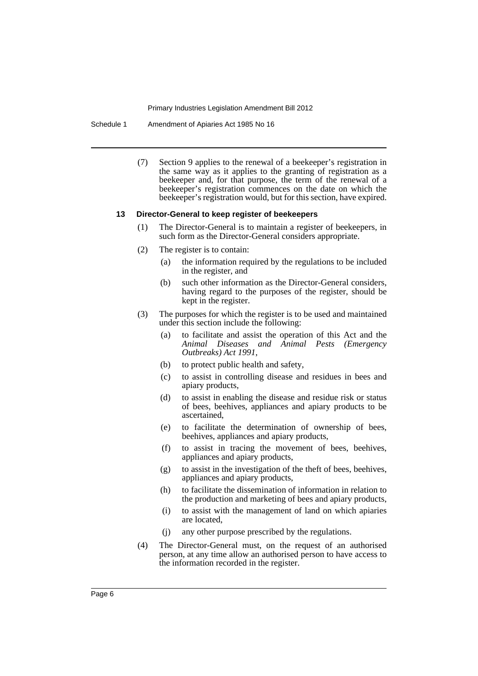Schedule 1 Amendment of Apiaries Act 1985 No 16

(7) Section 9 applies to the renewal of a beekeeper's registration in the same way as it applies to the granting of registration as a beekeeper and, for that purpose, the term of the renewal of a beekeeper's registration commences on the date on which the beekeeper's registration would, but for this section, have expired.

#### **13 Director-General to keep register of beekeepers**

- (1) The Director-General is to maintain a register of beekeepers, in such form as the Director-General considers appropriate.
- (2) The register is to contain:
	- (a) the information required by the regulations to be included in the register, and
	- (b) such other information as the Director-General considers, having regard to the purposes of the register, should be kept in the register.
- (3) The purposes for which the register is to be used and maintained under this section include the following:
	- (a) to facilitate and assist the operation of this Act and the *Animal Diseases and Animal Pests (Emergency Outbreaks) Act 1991*,
	- (b) to protect public health and safety,
	- (c) to assist in controlling disease and residues in bees and apiary products,
	- (d) to assist in enabling the disease and residue risk or status of bees, beehives, appliances and apiary products to be ascertained,
	- (e) to facilitate the determination of ownership of bees, beehives, appliances and apiary products,
	- (f) to assist in tracing the movement of bees, beehives, appliances and apiary products,
	- (g) to assist in the investigation of the theft of bees, beehives, appliances and apiary products,
	- (h) to facilitate the dissemination of information in relation to the production and marketing of bees and apiary products,
	- (i) to assist with the management of land on which apiaries are located,
	- (j) any other purpose prescribed by the regulations.
- (4) The Director-General must, on the request of an authorised person, at any time allow an authorised person to have access to the information recorded in the register.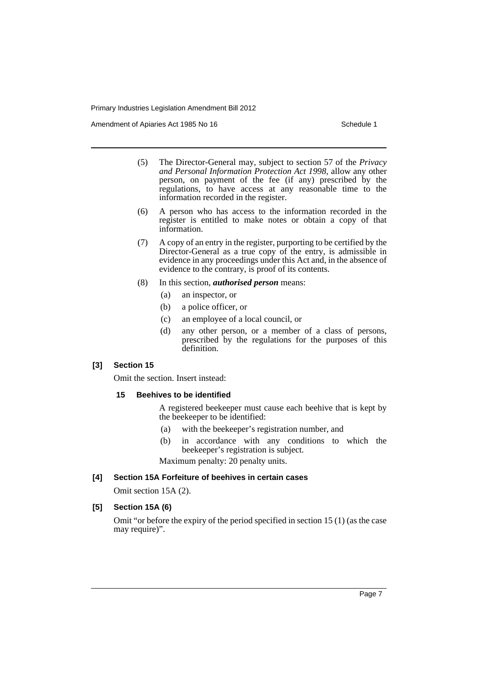Amendment of Apiaries Act 1985 No 16 Schedule 1

- (5) The Director-General may, subject to section 57 of the *Privacy and Personal Information Protection Act 1998*, allow any other person, on payment of the fee (if any) prescribed by the regulations, to have access at any reasonable time to the information recorded in the register.
- (6) A person who has access to the information recorded in the register is entitled to make notes or obtain a copy of that information.
- (7) A copy of an entry in the register, purporting to be certified by the Director-General as a true copy of the entry, is admissible in evidence in any proceedings under this Act and, in the absence of evidence to the contrary, is proof of its contents.
- (8) In this section, *authorised person* means:
	- (a) an inspector, or
	- (b) a police officer, or
	- (c) an employee of a local council, or
	- (d) any other person, or a member of a class of persons, prescribed by the regulations for the purposes of this definition.

## **[3] Section 15**

Omit the section. Insert instead:

#### **15 Beehives to be identified**

A registered beekeeper must cause each beehive that is kept by the beekeeper to be identified:

- (a) with the beekeeper's registration number, and
- (b) in accordance with any conditions to which the beekeeper's registration is subject.

Maximum penalty: 20 penalty units.

#### **[4] Section 15A Forfeiture of beehives in certain cases**

Omit section 15A (2).

## **[5] Section 15A (6)**

Omit "or before the expiry of the period specified in section 15 (1) (as the case may require)".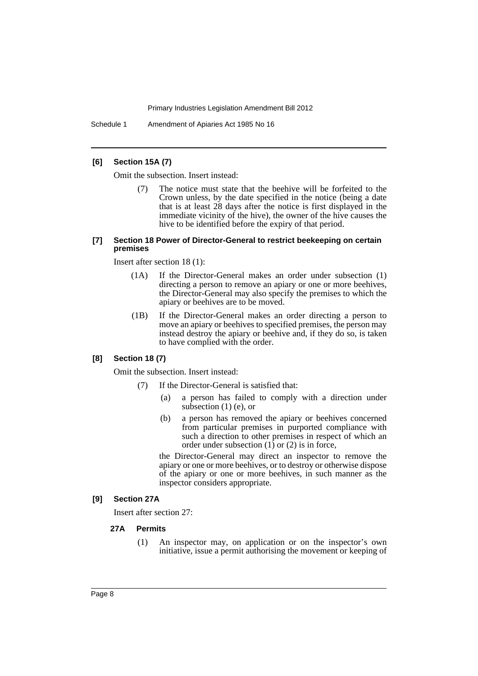Schedule 1 Amendment of Apiaries Act 1985 No 16

### **[6] Section 15A (7)**

Omit the subsection. Insert instead:

The notice must state that the beehive will be forfeited to the Crown unless, by the date specified in the notice (being a date that is at least 28 days after the notice is first displayed in the immediate vicinity of the hive), the owner of the hive causes the hive to be identified before the expiry of that period.

#### **[7] Section 18 Power of Director-General to restrict beekeeping on certain premises**

Insert after section 18 (1):

- (1A) If the Director-General makes an order under subsection (1) directing a person to remove an apiary or one or more beehives, the Director-General may also specify the premises to which the apiary or beehives are to be moved.
- (1B) If the Director-General makes an order directing a person to move an apiary or beehives to specified premises, the person may instead destroy the apiary or beehive and, if they do so, is taken to have complied with the order.

#### **[8] Section 18 (7)**

Omit the subsection. Insert instead:

- (7) If the Director-General is satisfied that:
	- (a) a person has failed to comply with a direction under subsection  $(1)$  (e), or
	- (b) a person has removed the apiary or beehives concerned from particular premises in purported compliance with such a direction to other premises in respect of which an order under subsection  $(1)$  or  $(2)$  is in force,

the Director-General may direct an inspector to remove the apiary or one or more beehives, or to destroy or otherwise dispose of the apiary or one or more beehives, in such manner as the inspector considers appropriate.

#### **[9] Section 27A**

Insert after section 27:

#### **27A Permits**

(1) An inspector may, on application or on the inspector's own initiative, issue a permit authorising the movement or keeping of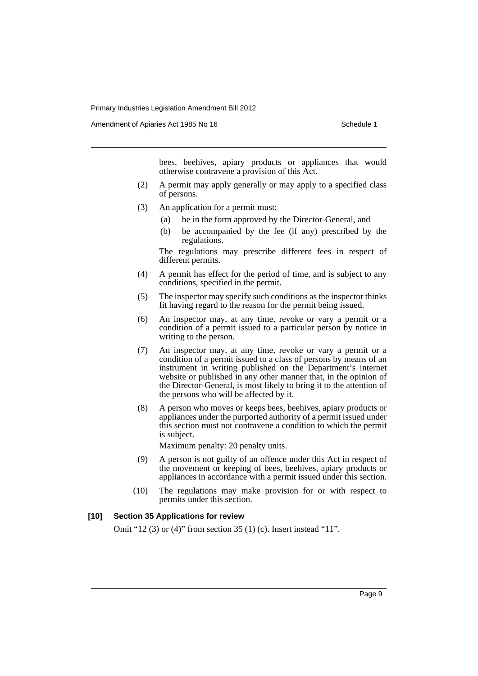Amendment of Apiaries Act 1985 No 16 Schedule 1

bees, beehives, apiary products or appliances that would otherwise contravene a provision of this Act.

- (2) A permit may apply generally or may apply to a specified class of persons.
- (3) An application for a permit must:
	- (a) be in the form approved by the Director-General, and
	- (b) be accompanied by the fee (if any) prescribed by the regulations.

The regulations may prescribe different fees in respect of different permits.

- (4) A permit has effect for the period of time, and is subject to any conditions, specified in the permit.
- (5) The inspector may specify such conditions as the inspector thinks fit having regard to the reason for the permit being issued.
- (6) An inspector may, at any time, revoke or vary a permit or a condition of a permit issued to a particular person by notice in writing to the person.
- (7) An inspector may, at any time, revoke or vary a permit or a condition of a permit issued to a class of persons by means of an instrument in writing published on the Department's internet website or published in any other manner that, in the opinion of the Director-General, is most likely to bring it to the attention of the persons who will be affected by it.
- (8) A person who moves or keeps bees, beehives, apiary products or appliances under the purported authority of a permit issued under this section must not contravene a condition to which the permit is subject.

Maximum penalty: 20 penalty units.

- (9) A person is not guilty of an offence under this Act in respect of the movement or keeping of bees, beehives, apiary products or appliances in accordance with a permit issued under this section.
- (10) The regulations may make provision for or with respect to permits under this section.

#### **[10] Section 35 Applications for review**

Omit "12 (3) or (4)" from section 35 (1) (c). Insert instead "11".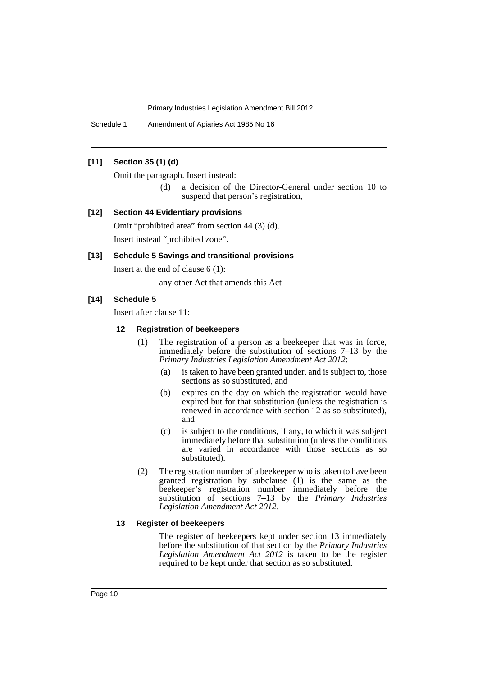Schedule 1 Amendment of Apiaries Act 1985 No 16

#### **[11] Section 35 (1) (d)**

Omit the paragraph. Insert instead:

(d) a decision of the Director-General under section 10 to suspend that person's registration,

## **[12] Section 44 Evidentiary provisions**

Omit "prohibited area" from section 44 (3) (d). Insert instead "prohibited zone".

#### **[13] Schedule 5 Savings and transitional provisions**

Insert at the end of clause 6 (1):

any other Act that amends this Act

#### **[14] Schedule 5**

Insert after clause 11:

#### **12 Registration of beekeepers**

- (1) The registration of a person as a beekeeper that was in force, immediately before the substitution of sections 7–13 by the *Primary Industries Legislation Amendment Act 2012*:
	- (a) is taken to have been granted under, and is subject to, those sections as so substituted, and
	- (b) expires on the day on which the registration would have expired but for that substitution (unless the registration is renewed in accordance with section 12 as so substituted), and
	- (c) is subject to the conditions, if any, to which it was subject immediately before that substitution (unless the conditions are varied in accordance with those sections as so substituted).
- (2) The registration number of a beekeeper who is taken to have been granted registration by subclause (1) is the same as the beekeeper's registration number immediately before the substitution of sections 7–13 by the *Primary Industries Legislation Amendment Act 2012*.

#### **13 Register of beekeepers**

The register of beekeepers kept under section 13 immediately before the substitution of that section by the *Primary Industries Legislation Amendment Act 2012* is taken to be the register required to be kept under that section as so substituted.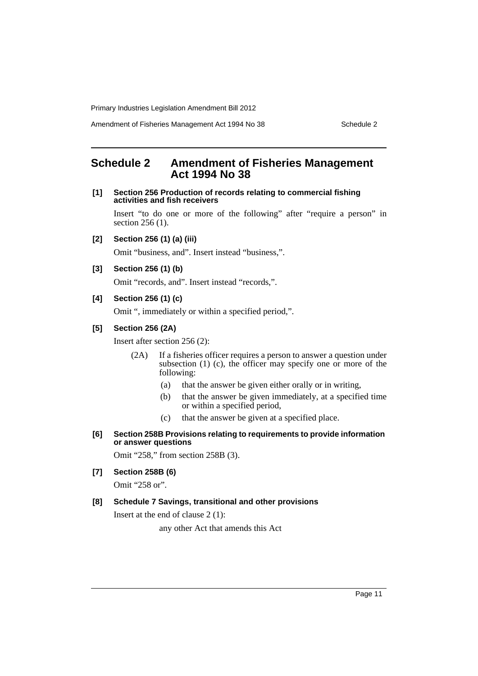Amendment of Fisheries Management Act 1994 No 38 Schedule 2

# <span id="page-12-0"></span>**Schedule 2 Amendment of Fisheries Management Act 1994 No 38**

#### **[1] Section 256 Production of records relating to commercial fishing activities and fish receivers**

Insert "to do one or more of the following" after "require a person" in section 256 (1).

**[2] Section 256 (1) (a) (iii)**

Omit "business, and". Insert instead "business,".

**[3] Section 256 (1) (b)**

Omit "records, and". Insert instead "records,".

## **[4] Section 256 (1) (c)**

Omit ", immediately or within a specified period,".

#### **[5] Section 256 (2A)**

Insert after section 256 (2):

- (2A) If a fisheries officer requires a person to answer a question under subsection  $(1)$   $(c)$ , the officer may specify one or more of the following:
	- (a) that the answer be given either orally or in writing,
	- (b) that the answer be given immediately, at a specified time or within a specified period,
	- (c) that the answer be given at a specified place.
- **[6] Section 258B Provisions relating to requirements to provide information or answer questions**

Omit "258," from section 258B (3).

**[7] Section 258B (6)**

Omit "258 or".

# **[8] Schedule 7 Savings, transitional and other provisions**

Insert at the end of clause 2 (1):

any other Act that amends this Act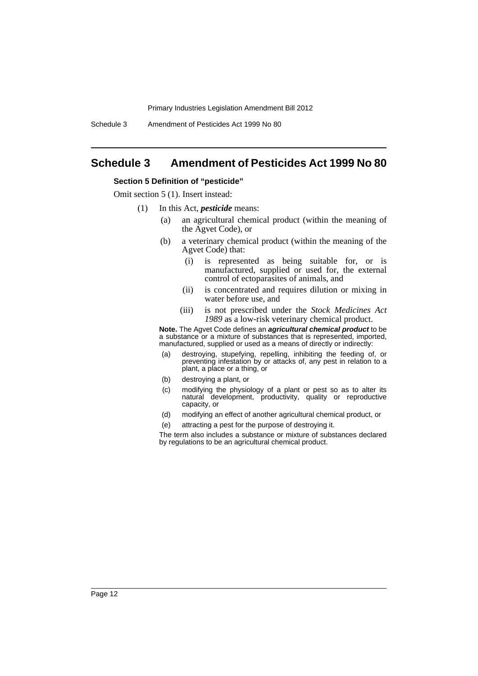Schedule 3 Amendment of Pesticides Act 1999 No 80

# <span id="page-13-0"></span>**Schedule 3 Amendment of Pesticides Act 1999 No 80**

#### **Section 5 Definition of "pesticide"**

Omit section 5 (1). Insert instead:

- (1) In this Act, *pesticide* means:
	- (a) an agricultural chemical product (within the meaning of the Agvet Code), or
	- (b) a veterinary chemical product (within the meaning of the Agvet Code) that:
		- (i) is represented as being suitable for, or is manufactured, supplied or used for, the external control of ectoparasites of animals, and
		- (ii) is concentrated and requires dilution or mixing in water before use, and
		- (iii) is not prescribed under the *Stock Medicines Act 1989* as a low-risk veterinary chemical product.

**Note.** The Agvet Code defines an *agricultural chemical product* to be a substance or a mixture of substances that is represented, imported, manufactured, supplied or used as a means of directly or indirectly:

- (a) destroying, stupefying, repelling, inhibiting the feeding of, or preventing infestation by or attacks of, any pest in relation to a plant, a place or a thing, or
- (b) destroying a plant, or
- (c) modifying the physiology of a plant or pest so as to alter its natural development, productivity, quality or reproductive capacity, or
- (d) modifying an effect of another agricultural chemical product, or
- (e) attracting a pest for the purpose of destroying it.

The term also includes a substance or mixture of substances declared by regulations to be an agricultural chemical product.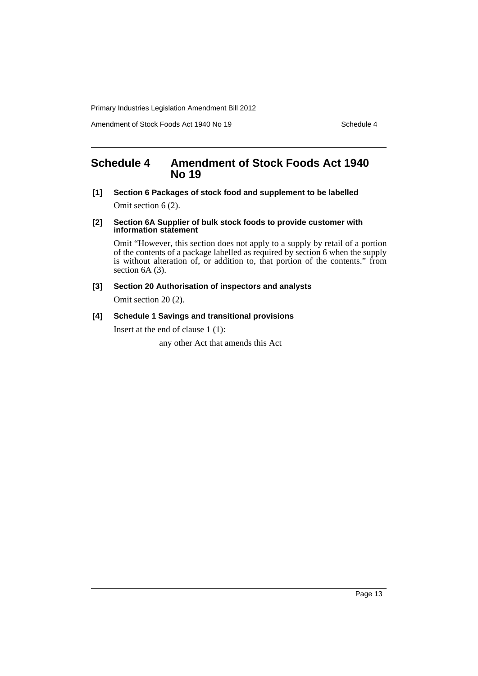Amendment of Stock Foods Act 1940 No 19 Schedule 4

# <span id="page-14-0"></span>**Schedule 4 Amendment of Stock Foods Act 1940 No 19**

**[1] Section 6 Packages of stock food and supplement to be labelled**

Omit section 6 (2).

#### **[2] Section 6A Supplier of bulk stock foods to provide customer with information statement**

Omit "However, this section does not apply to a supply by retail of a portion of the contents of a package labelled as required by section 6 when the supply is without alteration of, or addition to, that portion of the contents." from section 6A (3).

# **[3] Section 20 Authorisation of inspectors and analysts**

Omit section 20 (2).

# **[4] Schedule 1 Savings and transitional provisions**

Insert at the end of clause 1 (1):

any other Act that amends this Act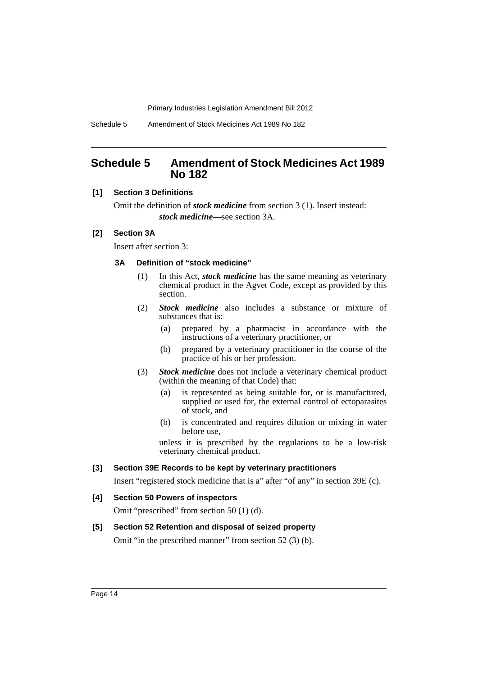Schedule 5 Amendment of Stock Medicines Act 1989 No 182

# <span id="page-15-0"></span>**Schedule 5 Amendment of Stock Medicines Act 1989 No 182**

## **[1] Section 3 Definitions**

Omit the definition of *stock medicine* from section 3 (1). Insert instead: *stock medicine*—see section 3A.

# **[2] Section 3A**

Insert after section 3:

#### **3A Definition of "stock medicine"**

- (1) In this Act, *stock medicine* has the same meaning as veterinary chemical product in the Agvet Code, except as provided by this section.
- (2) *Stock medicine* also includes a substance or mixture of substances that is:
	- (a) prepared by a pharmacist in accordance with the instructions of a veterinary practitioner, or
	- (b) prepared by a veterinary practitioner in the course of the practice of his or her profession.
- (3) *Stock medicine* does not include a veterinary chemical product (within the meaning of that Code) that:
	- (a) is represented as being suitable for, or is manufactured, supplied or used for, the external control of ectoparasites of stock, and
	- (b) is concentrated and requires dilution or mixing in water before use,

unless it is prescribed by the regulations to be a low-risk veterinary chemical product.

#### **[3] Section 39E Records to be kept by veterinary practitioners**

Insert "registered stock medicine that is a" after "of any" in section 39E (c).

#### **[4] Section 50 Powers of inspectors**

Omit "prescribed" from section 50 (1) (d).

#### **[5] Section 52 Retention and disposal of seized property**

Omit "in the prescribed manner" from section 52 (3) (b).